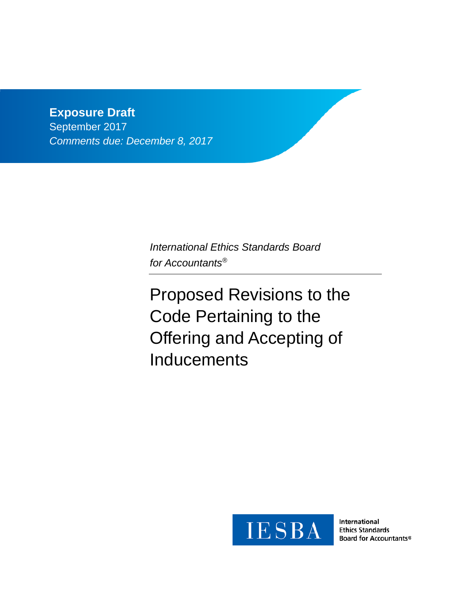# **Exposure Draft**

September 2017 *Comments due: December 8, 2017*

> *International Ethics Standards Board for Accountants®*

Proposed Revisions to the Code Pertaining to the Offering and Accepting of **Inducements** 



International **Ethics Standards** Board for Accountants®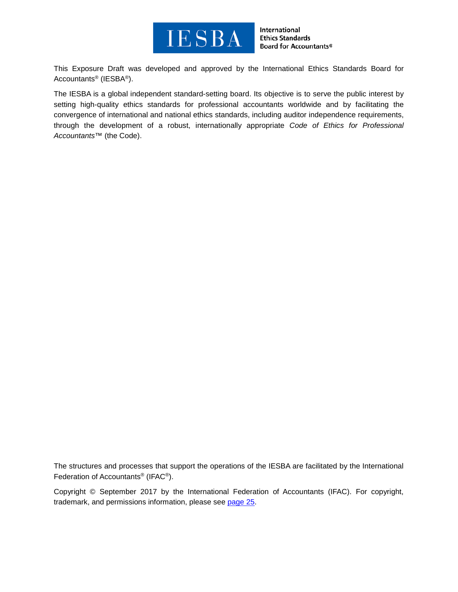

International **Ethics Standards** Board for Accountants®

This Exposure Draft was developed and approved by the [International Ethics Standards Board for](http://www.ifac.org/ethics)  [Accountants®](http://www.ifac.org/ethics) (IESBA®).

The IESBA is a global independent standard-setting board. Its objective is to serve the public interest by setting high-quality ethics standards for professional accountants worldwide and by facilitating the convergence of international and national ethics standards, including auditor independence requirements, through the development of a robust, internationally appropriate *Code of Ethics for Professional Accountants™* (the Code).

The structures and processes that support the operations of the IESBA are facilitated by the International Federation of Accountants® (IFAC®).

Copyright © September 2017 by the International Federation of Accountants (IFAC). For copyright, trademark, and permissions information, please see [page](#page-24-0) 25.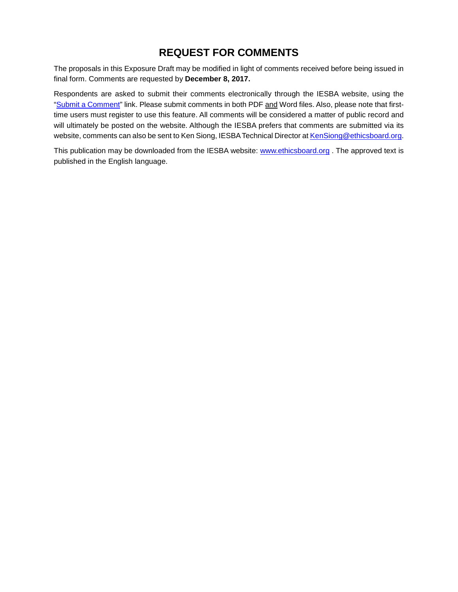# **REQUEST FOR COMMENTS**

The proposals in this Exposure Draft may be modified in light of comments received before being issued in final form. Comments are requested by **December 8, 2017.**

Respondents are asked to submit their comments electronically through the IESBA website, using the ["Submit a Comment"](http://www.ifac.org/publications-resources/proposed-revisions-clarify-applicability-provisions-part-c-extant-code) link. Please submit comments in both PDF and Word files. Also, please note that firsttime users must register to use this feature. All comments will be considered a matter of public record and will ultimately be posted on the website. Although the IESBA prefers that comments are submitted via its website, comments can also be sent to Ken Siong, IESBA Technical Director at [KenSiong@ethicsboard.org.](mailto:KenSiong@ethicsboard.org)

This publication may be downloaded from the IESBA website: [www.ethicsboard.org](http://www.ethicsboard.org/). The approved text is published in the English language.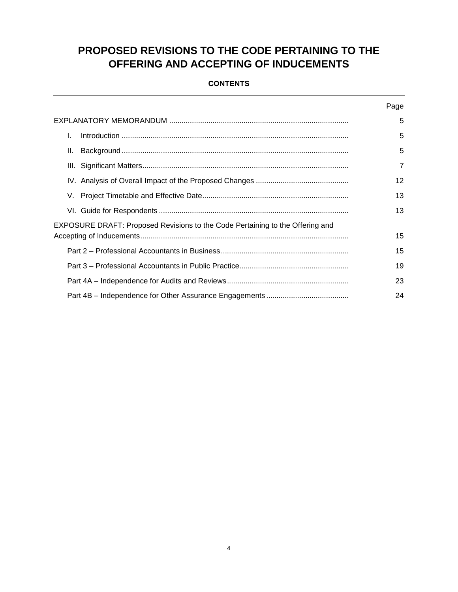# <span id="page-3-0"></span>**PROPOSED REVISIONS TO THE CODE PERTAINING TO THE OFFERING AND ACCEPTING OF INDUCEMENTS**

# **CONTENTS**

|                                                                               | Page |
|-------------------------------------------------------------------------------|------|
|                                                                               | 5    |
| I.                                                                            | 5    |
| Ш.                                                                            | 5    |
|                                                                               | 7    |
|                                                                               | 12   |
|                                                                               | 13   |
|                                                                               | 13   |
| EXPOSURE DRAFT: Proposed Revisions to the Code Pertaining to the Offering and |      |
|                                                                               | 15   |
|                                                                               | 15   |
|                                                                               | 19   |
|                                                                               | 23   |
|                                                                               | 24   |
|                                                                               |      |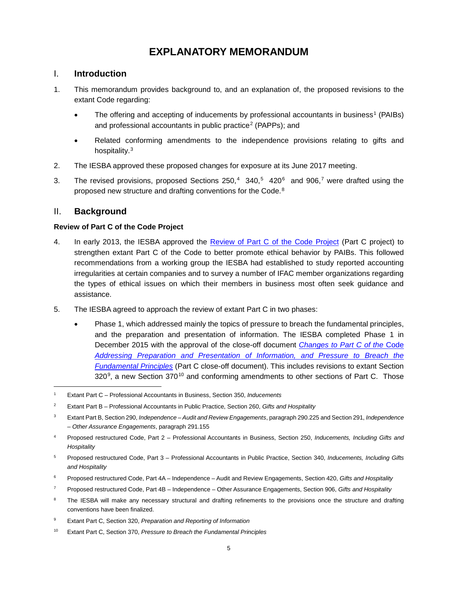# **EXPLANATORY MEMORANDUM**

# <span id="page-4-0"></span>I. **Introduction**

- 1. This memorandum provides background to, and an explanation of, the proposed revisions to the extant Code regarding:
	- The offering and accepting of inducements by professional accountants in business<sup>[1](#page-4-2)</sup> (PAIBs) and professional accountants in public practice<sup>[2](#page-4-3)</sup> (PAPPs); and
	- Related conforming amendments to the independence provisions relating to gifts and hospitality.<sup>[3](#page-4-4)</sup>
- 2. The IESBA approved these proposed changes for exposure at its June 2017 meeting.
- 3. The revised provisions, proposed Sections 250,<sup>[4](#page-4-5)</sup> 340,<sup>[5](#page-4-6)</sup> 420<sup>6</sup> and 906,<sup>[7](#page-4-8)</sup> were drafted using the proposed new structure and drafting conventions for the Code.<sup>[8](#page-4-9)</sup>

# <span id="page-4-1"></span>II. **Background**

# **Review of Part C of the Code Project**

- 4. In early 2013, the IESBA approved the [Review of Part C of the Code Project](http://www.ethicsboard.org/system/files/meetings/files/Agenda%20Item%206-A%20-%20Part%20C%20Project%20Proposal.pdf) (Part C project) to strengthen extant Part C of the Code to better promote ethical behavior by PAIBs. This followed recommendations from a working group the IESBA had established to study reported accounting irregularities at certain companies and to survey a number of IFAC member organizations regarding the types of ethical issues on which their members in business most often seek guidance and assistance.
- 5. The IESBA agreed to approach the review of extant Part C in two phases:
	- Phase 1, which addressed mainly the topics of pressure to breach the fundamental principles, and the preparation and presentation of information. The IESBA completed Phase 1 in December 2015 with the approval of the close-off document *[Changes to Part C of the](https://www.ifac.org/publications-resources/close-changes-part-c-code-addressing-preparation-and-presentation-information)* Code *[Addressing Preparation and Presentation of Information, and Pressure to Breach the](https://www.ifac.org/publications-resources/close-changes-part-c-code-addressing-preparation-and-presentation-information)  [Fundamental Principles](https://www.ifac.org/publications-resources/close-changes-part-c-code-addressing-preparation-and-presentation-information)* (Part C close-off document). This includes revisions to extant Section  $320^9$  $320^9$ , a new Section  $370^{10}$  $370^{10}$  $370^{10}$  and conforming amendments to other sections of Part C. Those

<span id="page-4-2"></span> <sup>1</sup> Extant Part C – Professional Accountants in Business, Section 350, *Inducements*

<span id="page-4-3"></span><sup>2</sup> Extant Part B – Professional Accountants in Public Practice, Section 260, *Gifts and Hospitality*

<span id="page-4-4"></span><sup>3</sup> Extant Part B, Section 290, *Independence – Audit and Review Engagements*, paragraph 290.225 and Section 291, *Independence – Other Assurance Engagements*, paragraph 291.155

<span id="page-4-5"></span><sup>4</sup> Proposed restructured Code, Part 2 – Professional Accountants in Business, Section 250, *Inducements, Including Gifts and Hospitality* 

<span id="page-4-6"></span><sup>5</sup> Proposed restructured Code, Part 3 – Professional Accountants in Public Practice, Section 340, *Inducements, Including Gifts and Hospitality* 

<span id="page-4-7"></span><sup>6</sup> Proposed restructured Code, Part 4A – Independence – Audit and Review Engagements, Section 420, *Gifts and Hospitality*

<span id="page-4-8"></span><sup>7</sup> Proposed restructured Code, Part 4B – Independence – Other Assurance Engagements, Section 906, *Gifts and Hospitality*

<span id="page-4-9"></span>The IESBA will make any necessary structural and drafting refinements to the provisions once the structure and drafting conventions have been finalized.

<span id="page-4-11"></span><span id="page-4-10"></span><sup>9</sup> Extant Part C, Section 320, *Preparation and Reporting of Information*

<sup>10</sup> Extant Part C, Section 370, *Pressure to Breach the Fundamental Principles*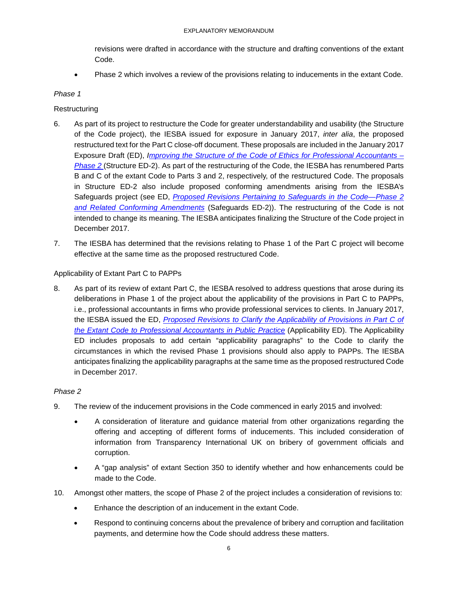revisions were drafted in accordance with the structure and drafting conventions of the extant Code.

• Phase 2 which involves a review of the provisions relating to inducements in the extant Code.

### *Phase 1*

## **Restructuring**

- 6. As part of its project to restructure the Code for greater understandability and usability (the Structure of the Code project), the IESBA issued for exposure in January 2017, *inter alia*, the proposed restructured text for the Part C close-off document. These proposals are included in the January 2017 Exposure Draft (ED), *[Improving the Structure of the Code of Ethics for Professional Accountants –](https://www.ifac.org/publications-resources/improving-structure-code-ethics-professional-accountants-phase-2) [Phase 2](https://www.ifac.org/publications-resources/improving-structure-code-ethics-professional-accountants-phase-2)* (Structure ED-2). As part of the restructuring of the Code, the IESBA has renumbered Parts B and C of the extant Code to Parts 3 and 2, respectively, of the restructured Code. The proposals in Structure ED-2 also include proposed conforming amendments arising from the IESBA's Safeguards project (see ED, *[Proposed Revisions Pertaining to Safeguards in the Code—Phase 2](http://www.ifac.org/publications-resources/proposed-revisions-pertaining-safeguards-code-phase-2-and-related-conforming)  [and Related Conforming Amendments](http://www.ifac.org/publications-resources/proposed-revisions-pertaining-safeguards-code-phase-2-and-related-conforming)* (Safeguards ED-2)). The restructuring of the Code is not intended to change its meaning. The IESBA anticipates finalizing the Structure of the Code project in December 2017.
- 7. The IESBA has determined that the revisions relating to Phase 1 of the Part C project will become effective at the same time as the proposed restructured Code.

### Applicability of Extant Part C to PAPPs

8. As part of its review of extant Part C, the IESBA resolved to address questions that arose during its deliberations in Phase 1 of the project about the applicability of the provisions in Part C to PAPPs, i.e., professional accountants in firms who provide professional services to clients. In January 2017, the IESBA issued the ED, *[Proposed Revisions to Clarify the Applicability of Provisions in Part C of](http://www.ifac.org/publications-resources/proposed-revisions-clarify-applicability-provisions-part-c-extant-code)  [the Extant Code to Professional Accountants in Public](http://www.ifac.org/publications-resources/proposed-revisions-clarify-applicability-provisions-part-c-extant-code) Practice* (Applicability ED). The Applicability ED includes proposals to add certain "applicability paragraphs" to the Code to clarify the circumstances in which the revised Phase 1 provisions should also apply to PAPPs. The IESBA anticipates finalizing the applicability paragraphs at the same time as the proposed restructured Code in December 2017.

### *Phase 2*

- 9. The review of the inducement provisions in the Code commenced in early 2015 and involved:
	- A consideration of literature and guidance material from other organizations regarding the offering and accepting of different forms of inducements. This included consideration of information from Transparency International UK on bribery of government officials and corruption.
	- A "gap analysis" of extant Section 350 to identify whether and how enhancements could be made to the Code.
- 10. Amongst other matters, the scope of Phase 2 of the project includes a consideration of revisions to:
	- Enhance the description of an inducement in the extant Code.
	- Respond to continuing concerns about the prevalence of bribery and corruption and facilitation payments, and determine how the Code should address these matters.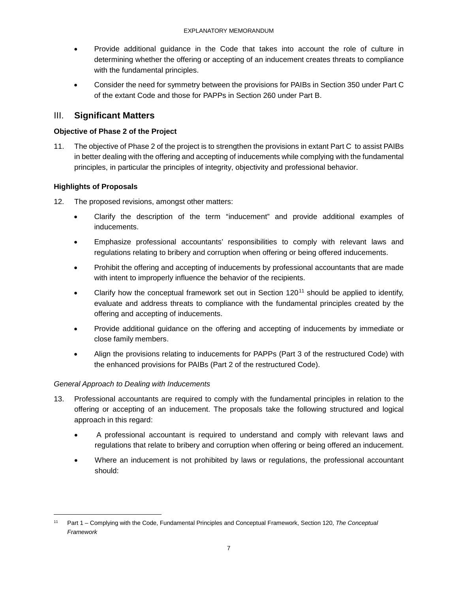- Provide additional guidance in the Code that takes into account the role of culture in determining whether the offering or accepting of an inducement creates threats to compliance with the fundamental principles.
- Consider the need for symmetry between the provisions for PAIBs in Section 350 under Part C of the extant Code and those for PAPPs in Section 260 under Part B.

# <span id="page-6-0"></span>III. **Significant Matters**

## **Objective of Phase 2 of the Project**

11. The objective of Phase 2 of the project is to strengthen the provisions in extant Part C to assist PAIBs in better dealing with the offering and accepting of inducements while complying with the fundamental principles, in particular the principles of integrity, objectivity and professional behavior.

# **Highlights of Proposals**

- 12. The proposed revisions, amongst other matters:
	- Clarify the description of the term "inducement" and provide additional examples of inducements.
	- Emphasize professional accountants' responsibilities to comply with relevant laws and regulations relating to bribery and corruption when offering or being offered inducements.
	- Prohibit the offering and accepting of inducements by professional accountants that are made with intent to improperly influence the behavior of the recipients.
	- Clarify how the conceptual framework set out in Section  $120<sup>11</sup>$  $120<sup>11</sup>$  $120<sup>11</sup>$  should be applied to identify, evaluate and address threats to compliance with the fundamental principles created by the offering and accepting of inducements.
	- Provide additional guidance on the offering and accepting of inducements by immediate or close family members.
	- Align the provisions relating to inducements for PAPPs (Part 3 of the restructured Code) with the enhanced provisions for PAIBs (Part 2 of the restructured Code).

### *General Approach to Dealing with Inducements*

- 13. Professional accountants are required to comply with the fundamental principles in relation to the offering or accepting of an inducement. The proposals take the following structured and logical approach in this regard:
	- A professional accountant is required to understand and comply with relevant laws and regulations that relate to bribery and corruption when offering or being offered an inducement.
	- Where an inducement is not prohibited by laws or regulations, the professional accountant should:

<span id="page-6-1"></span> <sup>11</sup> Part 1 – Complying with the Code, Fundamental Principles and Conceptual Framework, Section 120, *The Conceptual Framework*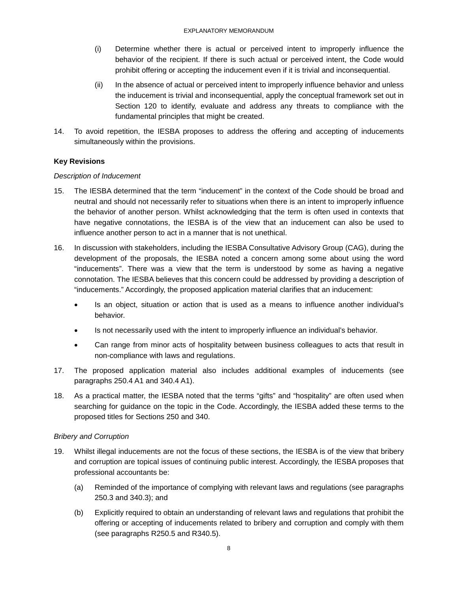- (i) Determine whether there is actual or perceived intent to improperly influence the behavior of the recipient. If there is such actual or perceived intent, the Code would prohibit offering or accepting the inducement even if it is trivial and inconsequential.
- (ii) In the absence of actual or perceived intent to improperly influence behavior and unless the inducement is trivial and inconsequential, apply the conceptual framework set out in Section 120 to identify, evaluate and address any threats to compliance with the fundamental principles that might be created.
- 14. To avoid repetition, the IESBA proposes to address the offering and accepting of inducements simultaneously within the provisions.

# **Key Revisions**

### *Description of Inducement*

- 15. The IESBA determined that the term "inducement" in the context of the Code should be broad and neutral and should not necessarily refer to situations when there is an intent to improperly influence the behavior of another person. Whilst acknowledging that the term is often used in contexts that have negative connotations, the IESBA is of the view that an inducement can also be used to influence another person to act in a manner that is not unethical.
- 16. In discussion with stakeholders, including the IESBA Consultative Advisory Group (CAG), during the development of the proposals, the IESBA noted a concern among some about using the word "inducements". There was a view that the term is understood by some as having a negative connotation. The IESBA believes that this concern could be addressed by providing a description of "inducements." Accordingly, the proposed application material clarifies that an inducement:
	- Is an object, situation or action that is used as a means to influence another individual's behavior.
	- Is not necessarily used with the intent to improperly influence an individual's behavior.
	- Can range from minor acts of hospitality between business colleagues to acts that result in non-compliance with laws and regulations.
- 17. The proposed application material also includes additional examples of inducements (see paragraphs 250.4 A1 and 340.4 A1).
- 18. As a practical matter, the IESBA noted that the terms "gifts" and "hospitality" are often used when searching for guidance on the topic in the Code. Accordingly, the IESBA added these terms to the proposed titles for Sections 250 and 340.

### *Bribery and Corruption*

- 19. Whilst illegal inducements are not the focus of these sections, the IESBA is of the view that bribery and corruption are topical issues of continuing public interest. Accordingly, the IESBA proposes that professional accountants be:
	- (a) Reminded of the importance of complying with relevant laws and regulations (see paragraphs 250.3 and 340.3); and
	- (b) Explicitly required to obtain an understanding of relevant laws and regulations that prohibit the offering or accepting of inducements related to bribery and corruption and comply with them (see paragraphs R250.5 and R340.5).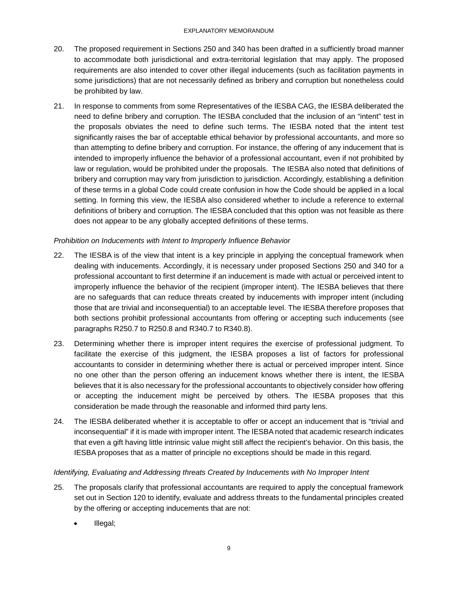- 20. The proposed requirement in Sections 250 and 340 has been drafted in a sufficiently broad manner to accommodate both jurisdictional and extra-territorial legislation that may apply. The proposed requirements are also intended to cover other illegal inducements (such as facilitation payments in some jurisdictions) that are not necessarily defined as bribery and corruption but nonetheless could be prohibited by law.
- 21. In response to comments from some Representatives of the IESBA CAG, the IESBA deliberated the need to define bribery and corruption. The IESBA concluded that the inclusion of an "intent" test in the proposals obviates the need to define such terms. The IESBA noted that the intent test significantly raises the bar of acceptable ethical behavior by professional accountants, and more so than attempting to define bribery and corruption. For instance, the offering of any inducement that is intended to improperly influence the behavior of a professional accountant, even if not prohibited by law or regulation, would be prohibited under the proposals. The IESBA also noted that definitions of bribery and corruption may vary from jurisdiction to jurisdiction. Accordingly, establishing a definition of these terms in a global Code could create confusion in how the Code should be applied in a local setting. In forming this view, the IESBA also considered whether to include a reference to external definitions of bribery and corruption. The IESBA concluded that this option was not feasible as there does not appear to be any globally accepted definitions of these terms.

# *Prohibition on Inducements with Intent to Improperly Influence Behavior*

- 22. The IESBA is of the view that intent is a key principle in applying the conceptual framework when dealing with inducements. Accordingly, it is necessary under proposed Sections 250 and 340 for a professional accountant to first determine if an inducement is made with actual or perceived intent to improperly influence the behavior of the recipient (improper intent). The IESBA believes that there are no safeguards that can reduce threats created by inducements with improper intent (including those that are trivial and inconsequential) to an acceptable level. The IESBA therefore proposes that both sections prohibit professional accountants from offering or accepting such inducements (see paragraphs R250.7 to R250.8 and R340.7 to R340.8).
- 23. Determining whether there is improper intent requires the exercise of professional judgment. To facilitate the exercise of this judgment, the IESBA proposes a list of factors for professional accountants to consider in determining whether there is actual or perceived improper intent. Since no one other than the person offering an inducement knows whether there is intent, the IESBA believes that it is also necessary for the professional accountants to objectively consider how offering or accepting the inducement might be perceived by others. The IESBA proposes that this consideration be made through the reasonable and informed third party lens.
- 24. The IESBA deliberated whether it is acceptable to offer or accept an inducement that is "trivial and inconsequential" if it is made with improper intent. The IESBA noted that academic research indicates that even a gift having little intrinsic value might still affect the recipient's behavior. On this basis, the IESBA proposes that as a matter of principle no exceptions should be made in this regard.

### *Identifying, Evaluating and Addressing threats Created by Inducements with No Improper Intent*

- 25. The proposals clarify that professional accountants are required to apply the conceptual framework set out in Section 120 to identify, evaluate and address threats to the fundamental principles created by the offering or accepting inducements that are not:
	- Illegal;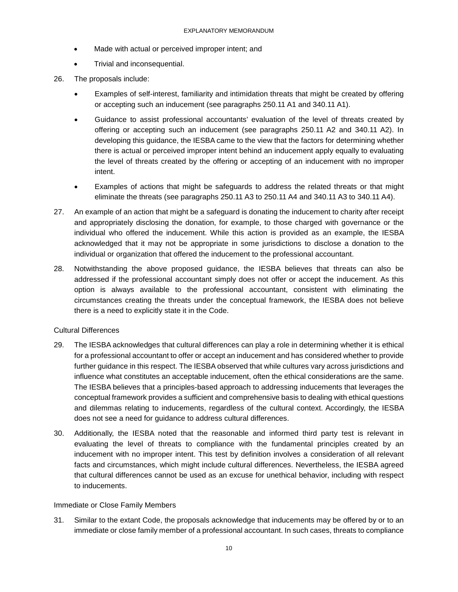- Made with actual or perceived improper intent; and
- Trivial and inconsequential.
- 26. The proposals include:
	- Examples of self-interest, familiarity and intimidation threats that might be created by offering or accepting such an inducement (see paragraphs 250.11 A1 and 340.11 A1).
	- Guidance to assist professional accountants' evaluation of the level of threats created by offering or accepting such an inducement (see paragraphs 250.11 A2 and 340.11 A2). In developing this guidance, the IESBA came to the view that the factors for determining whether there is actual or perceived improper intent behind an inducement apply equally to evaluating the level of threats created by the offering or accepting of an inducement with no improper intent.
	- Examples of actions that might be safeguards to address the related threats or that might eliminate the threats (see paragraphs 250.11 A3 to 250.11 A4 and 340.11 A3 to 340.11 A4).
- 27. An example of an action that might be a safeguard is donating the inducement to charity after receipt and appropriately disclosing the donation, for example, to those charged with governance or the individual who offered the inducement. While this action is provided as an example, the IESBA acknowledged that it may not be appropriate in some jurisdictions to disclose a donation to the individual or organization that offered the inducement to the professional accountant.
- 28. Notwithstanding the above proposed guidance, the IESBA believes that threats can also be addressed if the professional accountant simply does not offer or accept the inducement. As this option is always available to the professional accountant, consistent with eliminating the circumstances creating the threats under the conceptual framework, the IESBA does not believe there is a need to explicitly state it in the Code.

#### Cultural Differences

- 29. The IESBA acknowledges that cultural differences can play a role in determining whether it is ethical for a professional accountant to offer or accept an inducement and has considered whether to provide further guidance in this respect. The IESBA observed that while cultures vary across jurisdictions and influence what constitutes an acceptable inducement, often the ethical considerations are the same. The IESBA believes that a principles-based approach to addressing inducements that leverages the conceptual framework provides a sufficient and comprehensive basis to dealing with ethical questions and dilemmas relating to inducements, regardless of the cultural context. Accordingly, the IESBA does not see a need for guidance to address cultural differences.
- 30. Additionally, the IESBA noted that the reasonable and informed third party test is relevant in evaluating the level of threats to compliance with the fundamental principles created by an inducement with no improper intent. This test by definition involves a consideration of all relevant facts and circumstances, which might include cultural differences. Nevertheless, the IESBA agreed that cultural differences cannot be used as an excuse for unethical behavior, including with respect to inducements.

#### Immediate or Close Family Members

31. Similar to the extant Code, the proposals acknowledge that inducements may be offered by or to an immediate or close family member of a professional accountant. In such cases, threats to compliance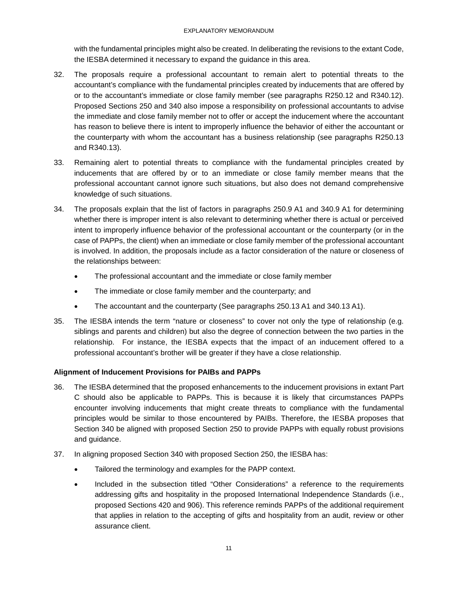#### EXPLANATORY MEMORANDUM

with the fundamental principles might also be created. In deliberating the revisions to the extant Code, the IESBA determined it necessary to expand the guidance in this area.

- 32. The proposals require a professional accountant to remain alert to potential threats to the accountant's compliance with the fundamental principles created by inducements that are offered by or to the accountant's immediate or close family member (see paragraphs R250.12 and R340.12). Proposed Sections 250 and 340 also impose a responsibility on professional accountants to advise the immediate and close family member not to offer or accept the inducement where the accountant has reason to believe there is intent to improperly influence the behavior of either the accountant or the counterparty with whom the accountant has a business relationship (see paragraphs R250.13 and R340.13).
- 33. Remaining alert to potential threats to compliance with the fundamental principles created by inducements that are offered by or to an immediate or close family member means that the professional accountant cannot ignore such situations, but also does not demand comprehensive knowledge of such situations.
- 34. The proposals explain that the list of factors in paragraphs 250.9 A1 and 340.9 A1 for determining whether there is improper intent is also relevant to determining whether there is actual or perceived intent to improperly influence behavior of the professional accountant or the counterparty (or in the case of PAPPs, the client) when an immediate or close family member of the professional accountant is involved. In addition, the proposals include as a factor consideration of the nature or closeness of the relationships between:
	- The professional accountant and the immediate or close family member
	- The immediate or close family member and the counterparty; and
	- The accountant and the counterparty (See paragraphs 250.13 A1 and 340.13 A1).
- 35. The IESBA intends the term "nature or closeness" to cover not only the type of relationship (e.g. siblings and parents and children) but also the degree of connection between the two parties in the relationship. For instance, the IESBA expects that the impact of an inducement offered to a professional accountant's brother will be greater if they have a close relationship.

# **Alignment of Inducement Provisions for PAIBs and PAPPs**

- 36. The IESBA determined that the proposed enhancements to the inducement provisions in extant Part C should also be applicable to PAPPs. This is because it is likely that circumstances PAPPs encounter involving inducements that might create threats to compliance with the fundamental principles would be similar to those encountered by PAIBs. Therefore, the IESBA proposes that Section 340 be aligned with proposed Section 250 to provide PAPPs with equally robust provisions and guidance.
- 37. In aligning proposed Section 340 with proposed Section 250, the IESBA has:
	- Tailored the terminology and examples for the PAPP context.
	- Included in the subsection titled "Other Considerations" a reference to the requirements addressing gifts and hospitality in the proposed International Independence Standards (i.e., proposed Sections 420 and 906). This reference reminds PAPPs of the additional requirement that applies in relation to the accepting of gifts and hospitality from an audit, review or other assurance client.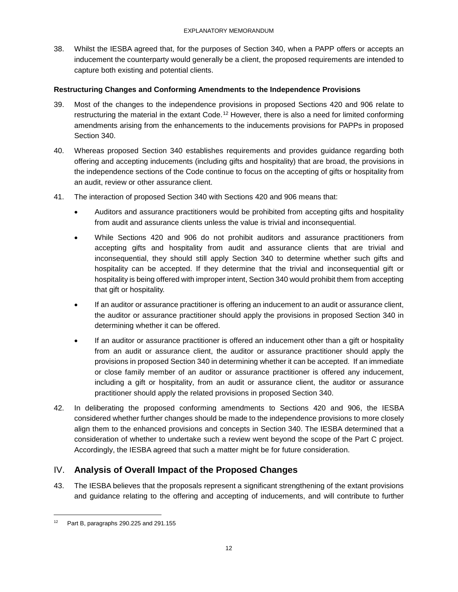38. Whilst the IESBA agreed that, for the purposes of Section 340, when a PAPP offers or accepts an inducement the counterparty would generally be a client, the proposed requirements are intended to capture both existing and potential clients.

### **Restructuring Changes and Conforming Amendments to the Independence Provisions**

- 39. Most of the changes to the independence provisions in proposed Sections 420 and 906 relate to restructuring the material in the extant Code.<sup>[12](#page-11-1)</sup> However, there is also a need for limited conforming amendments arising from the enhancements to the inducements provisions for PAPPs in proposed Section 340.
- 40. Whereas proposed Section 340 establishes requirements and provides guidance regarding both offering and accepting inducements (including gifts and hospitality) that are broad, the provisions in the independence sections of the Code continue to focus on the accepting of gifts or hospitality from an audit, review or other assurance client.
- 41. The interaction of proposed Section 340 with Sections 420 and 906 means that:
	- Auditors and assurance practitioners would be prohibited from accepting gifts and hospitality from audit and assurance clients unless the value is trivial and inconsequential.
	- While Sections 420 and 906 do not prohibit auditors and assurance practitioners from accepting gifts and hospitality from audit and assurance clients that are trivial and inconsequential, they should still apply Section 340 to determine whether such gifts and hospitality can be accepted. If they determine that the trivial and inconsequential gift or hospitality is being offered with improper intent, Section 340 would prohibit them from accepting that gift or hospitality.
	- If an auditor or assurance practitioner is offering an inducement to an audit or assurance client, the auditor or assurance practitioner should apply the provisions in proposed Section 340 in determining whether it can be offered.
	- If an auditor or assurance practitioner is offered an inducement other than a gift or hospitality from an audit or assurance client, the auditor or assurance practitioner should apply the provisions in proposed Section 340 in determining whether it can be accepted. If an immediate or close family member of an auditor or assurance practitioner is offered any inducement, including a gift or hospitality, from an audit or assurance client, the auditor or assurance practitioner should apply the related provisions in proposed Section 340.
- 42. In deliberating the proposed conforming amendments to Sections 420 and 906, the IESBA considered whether further changes should be made to the independence provisions to more closely align them to the enhanced provisions and concepts in Section 340. The IESBA determined that a consideration of whether to undertake such a review went beyond the scope of the Part C project. Accordingly, the IESBA agreed that such a matter might be for future consideration.

# <span id="page-11-0"></span>IV. **Analysis of Overall Impact of the Proposed Changes**

43. The IESBA believes that the proposals represent a significant strengthening of the extant provisions and guidance relating to the offering and accepting of inducements, and will contribute to further

<span id="page-11-1"></span><sup>&</sup>lt;sup>12</sup> Part B, paragraphs 290.225 and 291.155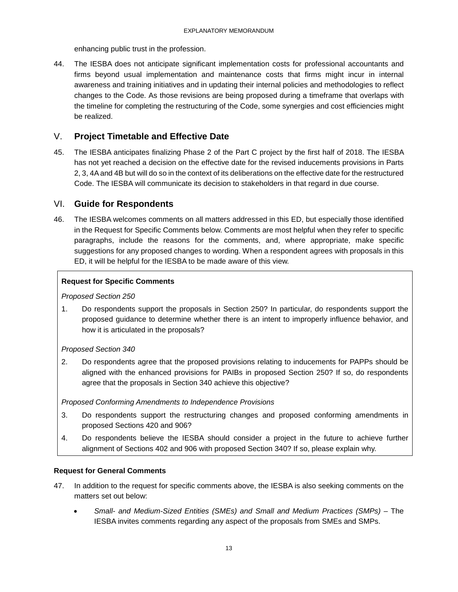enhancing public trust in the profession.

44. The IESBA does not anticipate significant implementation costs for professional accountants and firms beyond usual implementation and maintenance costs that firms might incur in internal awareness and training initiatives and in updating their internal policies and methodologies to reflect changes to the Code. As those revisions are being proposed during a timeframe that overlaps with the timeline for completing the restructuring of the Code, some synergies and cost efficiencies might be realized.

# <span id="page-12-0"></span>V. **Project Timetable and Effective Date**

45. The IESBA anticipates finalizing Phase 2 of the Part C project by the first half of 2018. The IESBA has not yet reached a decision on the effective date for the revised inducements provisions in Parts 2, 3, 4A and 4B but will do so in the context of its deliberations on the effective date for the restructured Code. The IESBA will communicate its decision to stakeholders in that regard in due course.

# <span id="page-12-1"></span>VI. **Guide for Respondents**

46. The IESBA welcomes comments on all matters addressed in this ED, but especially those identified in the Request for Specific Comments below. Comments are most helpful when they refer to specific paragraphs, include the reasons for the comments, and, where appropriate, make specific suggestions for any proposed changes to wording. When a respondent agrees with proposals in this ED, it will be helpful for the IESBA to be made aware of this view.

# **Request for Specific Comments**

#### *Proposed Section 250*

1. Do respondents support the proposals in Section 250? In particular, do respondents support the proposed guidance to determine whether there is an intent to improperly influence behavior, and how it is articulated in the proposals?

### *Proposed Section 340*

2. Do respondents agree that the proposed provisions relating to inducements for PAPPs should be aligned with the enhanced provisions for PAIBs in proposed Section 250? If so, do respondents agree that the proposals in Section 340 achieve this objective?

*Proposed Conforming Amendments to Independence Provisions* 

- 3. Do respondents support the restructuring changes and proposed conforming amendments in proposed Sections 420 and 906?
- 4. Do respondents believe the IESBA should consider a project in the future to achieve further alignment of Sections 402 and 906 with proposed Section 340? If so, please explain why.

### **Request for General Comments**

- 47. In addition to the request for specific comments above, the IESBA is also seeking comments on the matters set out below:
	- *Small- and Medium-Sized Entities (SMEs) and Small and Medium Practices (SMPs) –* The IESBA invites comments regarding any aspect of the proposals from SMEs and SMPs.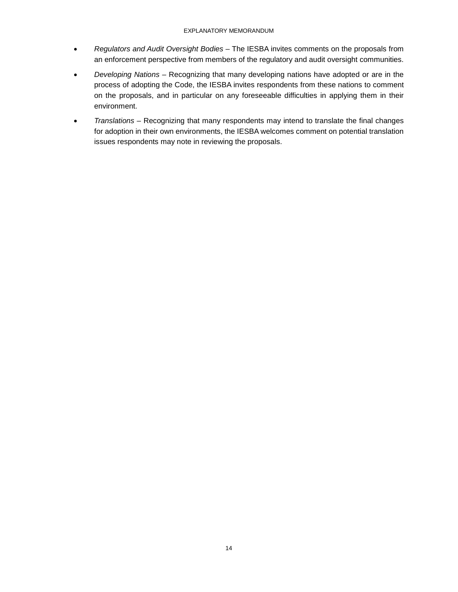- *Regulators and Audit Oversight Bodies –* The IESBA invites comments on the proposals from an enforcement perspective from members of the regulatory and audit oversight communities.
- *Developing Nations –* Recognizing that many developing nations have adopted or are in the process of adopting the Code, the IESBA invites respondents from these nations to comment on the proposals, and in particular on any foreseeable difficulties in applying them in their environment.
- *Translations –* Recognizing that many respondents may intend to translate the final changes for adoption in their own environments, the IESBA welcomes comment on potential translation issues respondents may note in reviewing the proposals.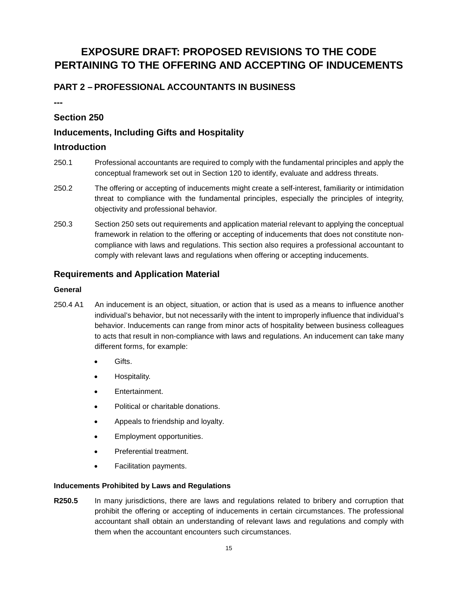# <span id="page-14-0"></span>**EXPOSURE DRAFT: PROPOSED REVISIONS TO THE CODE PERTAINING TO THE OFFERING AND ACCEPTING OF INDUCEMENTS**

# <span id="page-14-1"></span>**PART 2 – PROFESSIONAL ACCOUNTANTS IN BUSINESS**

**---**

# **Section 250**

# **Inducements, Including Gifts and Hospitality**

# **Introduction**

- 250.1 Professional accountants are required to comply with the fundamental principles and apply the conceptual framework set out in Section 120 to identify, evaluate and address threats.
- 250.2 The offering or accepting of inducements might create a self-interest, familiarity or intimidation threat to compliance with the fundamental principles, especially the principles of integrity, objectivity and professional behavior.
- 250.3 Section 250 sets out requirements and application material relevant to applying the conceptual framework in relation to the offering or accepting of inducements that does not constitute noncompliance with laws and regulations. This section also requires a professional accountant to comply with relevant laws and regulations when offering or accepting inducements.

# **Requirements and Application Material**

#### **General**

- 250.4 A1 An inducement is an object, situation, or action that is used as a means to influence another individual's behavior, but not necessarily with the intent to improperly influence that individual's behavior. Inducements can range from minor acts of hospitality between business colleagues to acts that result in non-compliance with laws and regulations. An inducement can take many different forms, for example:
	- Gifts.
	- Hospitality.
	- Entertainment.
	- Political or charitable donations.
	- Appeals to friendship and loyalty.
	- Employment opportunities.
	- Preferential treatment.
	- Facilitation payments.

### **Inducements Prohibited by Laws and Regulations**

**R250.5** In many jurisdictions, there are laws and regulations related to bribery and corruption that prohibit the offering or accepting of inducements in certain circumstances. The professional accountant shall obtain an understanding of relevant laws and regulations and comply with them when the accountant encounters such circumstances.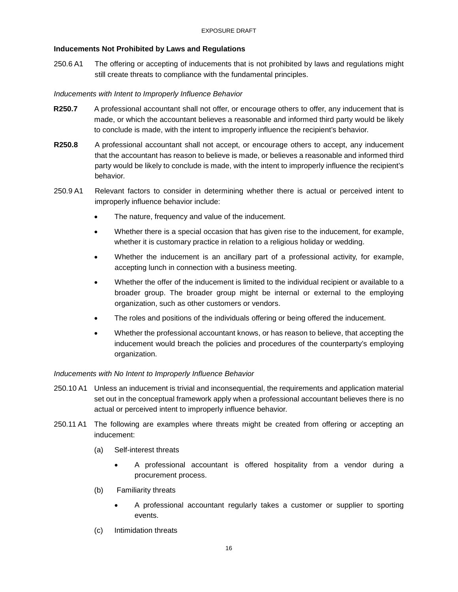## **Inducements Not Prohibited by Laws and Regulations**

250.6 A1 The offering or accepting of inducements that is not prohibited by laws and regulations might still create threats to compliance with the fundamental principles.

### *Inducements with Intent to Improperly Influence Behavior*

- **R250.7** A professional accountant shall not offer, or encourage others to offer, any inducement that is made, or which the accountant believes a reasonable and informed third party would be likely to conclude is made, with the intent to improperly influence the recipient's behavior.
- **R250.8** A professional accountant shall not accept, or encourage others to accept, any inducement that the accountant has reason to believe is made, or believes a reasonable and informed third party would be likely to conclude is made, with the intent to improperly influence the recipient's behavior.
- 250.9 A1 Relevant factors to consider in determining whether there is actual or perceived intent to improperly influence behavior include:
	- The nature, frequency and value of the inducement.
	- Whether there is a special occasion that has given rise to the inducement, for example, whether it is customary practice in relation to a religious holiday or wedding.
	- Whether the inducement is an ancillary part of a professional activity, for example, accepting lunch in connection with a business meeting.
	- Whether the offer of the inducement is limited to the individual recipient or available to a broader group. The broader group might be internal or external to the employing organization, such as other customers or vendors.
	- The roles and positions of the individuals offering or being offered the inducement.
	- Whether the professional accountant knows, or has reason to believe, that accepting the inducement would breach the policies and procedures of the counterparty's employing organization.

### *Inducements with No Intent to Improperly Influence Behavior*

- 250.10 A1 Unless an inducement is trivial and inconsequential, the requirements and application material set out in the conceptual framework apply when a professional accountant believes there is no actual or perceived intent to improperly influence behavior.
- 250.11 A1 The following are examples where threats might be created from offering or accepting an inducement:
	- (a) Self-interest threats
		- A professional accountant is offered hospitality from a vendor during a procurement process.
	- (b) Familiarity threats
		- A professional accountant regularly takes a customer or supplier to sporting events.
	- (c) Intimidation threats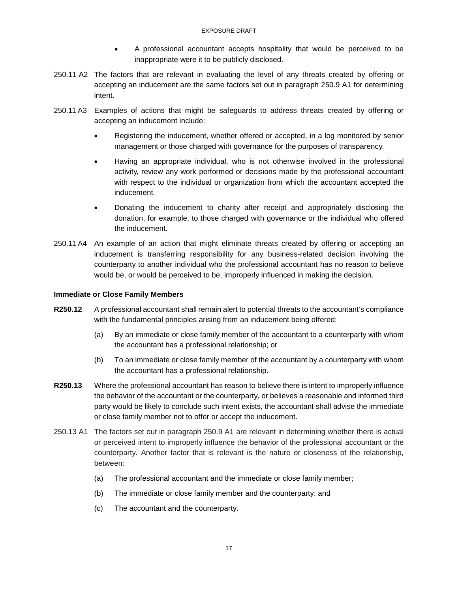- A professional accountant accepts hospitality that would be perceived to be inappropriate were it to be publicly disclosed.
- 250.11 A2 The factors that are relevant in evaluating the level of any threats created by offering or accepting an inducement are the same factors set out in paragraph 250.9 A1 for determining intent.
- 250.11 A3 Examples of actions that might be safeguards to address threats created by offering or accepting an inducement include:
	- Registering the inducement, whether offered or accepted, in a log monitored by senior management or those charged with governance for the purposes of transparency.
	- Having an appropriate individual, who is not otherwise involved in the professional activity, review any work performed or decisions made by the professional accountant with respect to the individual or organization from which the accountant accepted the inducement.
	- Donating the inducement to charity after receipt and appropriately disclosing the donation, for example, to those charged with governance or the individual who offered the inducement.
- 250.11 A4 An example of an action that might eliminate threats created by offering or accepting an inducement is transferring responsibility for any business-related decision involving the counterparty to another individual who the professional accountant has no reason to believe would be, or would be perceived to be, improperly influenced in making the decision.

#### **Immediate or Close Family Members**

- **R250.12** A professional accountant shall remain alert to potential threats to the accountant's compliance with the fundamental principles arising from an inducement being offered:
	- (a) By an immediate or close family member of the accountant to a counterparty with whom the accountant has a professional relationship; or
	- (b) To an immediate or close family member of the accountant by a counterparty with whom the accountant has a professional relationship.
- **R250.13** Where the professional accountant has reason to believe there is intent to improperly influence the behavior of the accountant or the counterparty, or believes a reasonable and informed third party would be likely to conclude such intent exists, the accountant shall advise the immediate or close family member not to offer or accept the inducement.
- 250.13 A1 The factors set out in paragraph 250.9 A1 are relevant in determining whether there is actual or perceived intent to improperly influence the behavior of the professional accountant or the counterparty. Another factor that is relevant is the nature or closeness of the relationship, between:
	- (a) The professional accountant and the immediate or close family member;
	- (b) The immediate or close family member and the counterparty; and
	- (c) The accountant and the counterparty.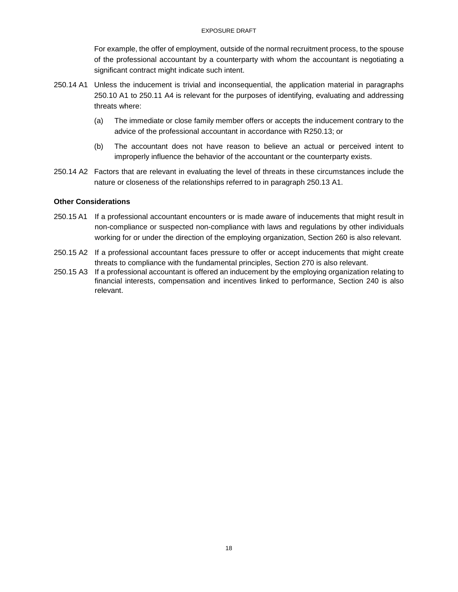For example, the offer of employment, outside of the normal recruitment process, to the spouse of the professional accountant by a counterparty with whom the accountant is negotiating a significant contract might indicate such intent.

- 250.14 A1 Unless the inducement is trivial and inconsequential, the application material in paragraphs 250.10 A1 to 250.11 A4 is relevant for the purposes of identifying, evaluating and addressing threats where:
	- (a) The immediate or close family member offers or accepts the inducement contrary to the advice of the professional accountant in accordance with R250.13; or
	- (b) The accountant does not have reason to believe an actual or perceived intent to improperly influence the behavior of the accountant or the counterparty exists.
- 250.14 A2 Factors that are relevant in evaluating the level of threats in these circumstances include the nature or closeness of the relationships referred to in paragraph 250.13 A1.

#### **Other Considerations**

- 250.15 A1 If a professional accountant encounters or is made aware of inducements that might result in non-compliance or suspected non-compliance with laws and regulations by other individuals working for or under the direction of the employing organization, Section 260 is also relevant.
- 250.15 A2 If a professional accountant faces pressure to offer or accept inducements that might create threats to compliance with the fundamental principles, Section 270 is also relevant.
- 250.15 A3 If a professional accountant is offered an inducement by the employing organization relating to financial interests, compensation and incentives linked to performance, Section 240 is also relevant.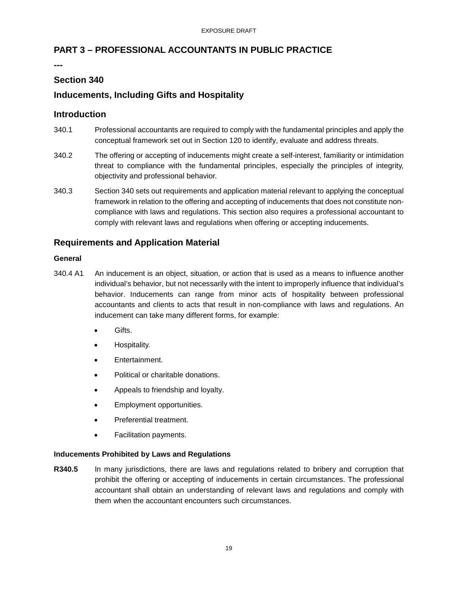# <span id="page-18-0"></span>**PART 3 – PROFESSIONAL ACCOUNTANTS IN PUBLIC PRACTICE**

**---**

# **Section 340**

# **Inducements, Including Gifts and Hospitality**

# **Introduction**

- 340.1 Professional accountants are required to comply with the fundamental principles and apply the conceptual framework set out in Section 120 to identify, evaluate and address threats.
- 340.2 The offering or accepting of inducements might create a self-interest, familiarity or intimidation threat to compliance with the fundamental principles, especially the principles of integrity, objectivity and professional behavior.
- 340.3 Section 340 sets out requirements and application material relevant to applying the conceptual framework in relation to the offering and accepting of inducements that does not constitute noncompliance with laws and regulations. This section also requires a professional accountant to comply with relevant laws and regulations when offering or accepting inducements.

# **Requirements and Application Material**

#### **General**

- 340.4 A1 An inducement is an object, situation, or action that is used as a means to influence another individual's behavior, but not necessarily with the intent to improperly influence that individual's behavior. Inducements can range from minor acts of hospitality between professional accountants and clients to acts that result in non-compliance with laws and regulations. An inducement can take many different forms, for example:
	- Gifts.
	- Hospitality.
	- Entertainment.
	- Political or charitable donations.
	- Appeals to friendship and loyalty.
	- Employment opportunities.
	- Preferential treatment.
	- Facilitation payments.

### **Inducements Prohibited by Laws and Regulations**

**R340.5** In many jurisdictions, there are laws and regulations related to bribery and corruption that prohibit the offering or accepting of inducements in certain circumstances. The professional accountant shall obtain an understanding of relevant laws and regulations and comply with them when the accountant encounters such circumstances.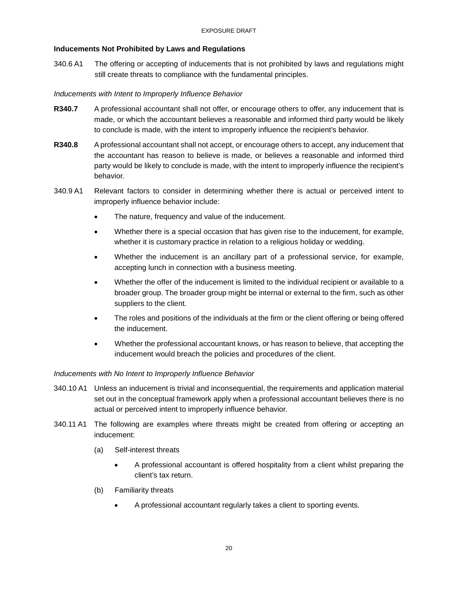## **Inducements Not Prohibited by Laws and Regulations**

340.6 A1 The offering or accepting of inducements that is not prohibited by laws and regulations might still create threats to compliance with the fundamental principles.

### *Inducements with Intent to Improperly Influence Behavior*

- **R340.7** A professional accountant shall not offer, or encourage others to offer, any inducement that is made, or which the accountant believes a reasonable and informed third party would be likely to conclude is made, with the intent to improperly influence the recipient's behavior.
- **R340.8** A professional accountant shall not accept, or encourage others to accept, any inducement that the accountant has reason to believe is made, or believes a reasonable and informed third party would be likely to conclude is made, with the intent to improperly influence the recipient's behavior.
- 340.9 A1 Relevant factors to consider in determining whether there is actual or perceived intent to improperly influence behavior include:
	- The nature, frequency and value of the inducement.
	- Whether there is a special occasion that has given rise to the inducement, for example, whether it is customary practice in relation to a religious holiday or wedding.
	- Whether the inducement is an ancillary part of a professional service, for example, accepting lunch in connection with a business meeting.
	- Whether the offer of the inducement is limited to the individual recipient or available to a broader group. The broader group might be internal or external to the firm, such as other suppliers to the client.
	- The roles and positions of the individuals at the firm or the client offering or being offered the inducement.
	- Whether the professional accountant knows, or has reason to believe, that accepting the inducement would breach the policies and procedures of the client.

### *Inducements with No Intent to Improperly Influence Behavior*

- 340.10 A1 Unless an inducement is trivial and inconsequential, the requirements and application material set out in the conceptual framework apply when a professional accountant believes there is no actual or perceived intent to improperly influence behavior.
- 340.11 A1 The following are examples where threats might be created from offering or accepting an inducement:
	- (a) Self-interest threats
		- A professional accountant is offered hospitality from a client whilst preparing the client's tax return.
	- (b) Familiarity threats
		- A professional accountant regularly takes a client to sporting events.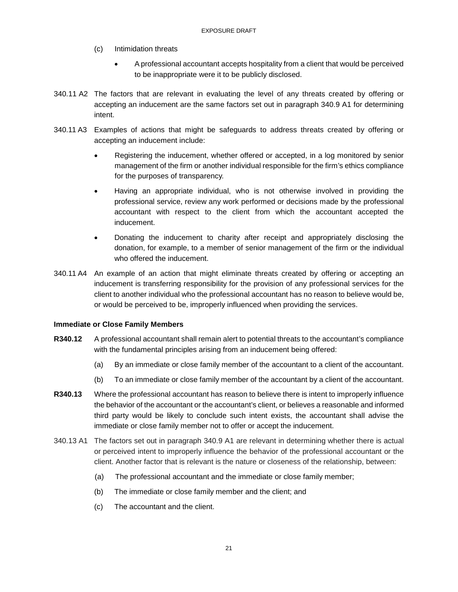- (c) Intimidation threats
	- A professional accountant accepts hospitality from a client that would be perceived to be inappropriate were it to be publicly disclosed.
- 340.11 A2 The factors that are relevant in evaluating the level of any threats created by offering or accepting an inducement are the same factors set out in paragraph 340.9 A1 for determining intent.
- 340.11 A3 Examples of actions that might be safeguards to address threats created by offering or accepting an inducement include:
	- Registering the inducement, whether offered or accepted, in a log monitored by senior management of the firm or another individual responsible for the firm's ethics compliance for the purposes of transparency.
	- Having an appropriate individual, who is not otherwise involved in providing the professional service, review any work performed or decisions made by the professional accountant with respect to the client from which the accountant accepted the inducement.
	- Donating the inducement to charity after receipt and appropriately disclosing the donation, for example, to a member of senior management of the firm or the individual who offered the inducement.
- 340.11 A4 An example of an action that might eliminate threats created by offering or accepting an inducement is transferring responsibility for the provision of any professional services for the client to another individual who the professional accountant has no reason to believe would be, or would be perceived to be, improperly influenced when providing the services.

### **Immediate or Close Family Members**

- **R340.12** A professional accountant shall remain alert to potential threats to the accountant's compliance with the fundamental principles arising from an inducement being offered:
	- (a) By an immediate or close family member of the accountant to a client of the accountant.
	- (b) To an immediate or close family member of the accountant by a client of the accountant.
- **R340.13** Where the professional accountant has reason to believe there is intent to improperly influence the behavior of the accountant or the accountant's client, or believes a reasonable and informed third party would be likely to conclude such intent exists, the accountant shall advise the immediate or close family member not to offer or accept the inducement.
- 340.13 A1 The factors set out in paragraph 340.9 A1 are relevant in determining whether there is actual or perceived intent to improperly influence the behavior of the professional accountant or the client. Another factor that is relevant is the nature or closeness of the relationship, between:
	- (a) The professional accountant and the immediate or close family member;
	- (b) The immediate or close family member and the client; and
	- (c) The accountant and the client.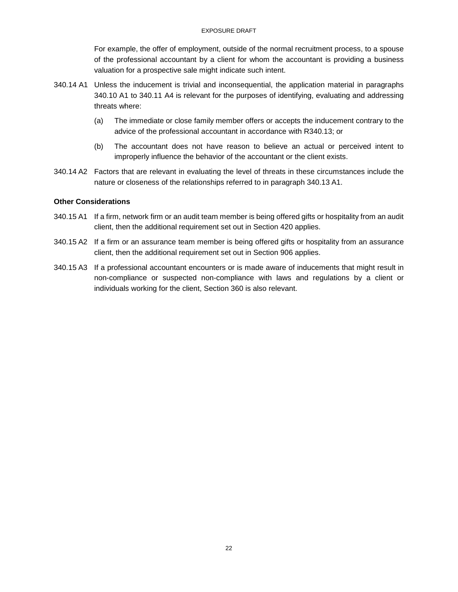For example, the offer of employment, outside of the normal recruitment process, to a spouse of the professional accountant by a client for whom the accountant is providing a business valuation for a prospective sale might indicate such intent.

- 340.14 A1 Unless the inducement is trivial and inconsequential, the application material in paragraphs 340.10 A1 to 340.11 A4 is relevant for the purposes of identifying, evaluating and addressing threats where:
	- (a) The immediate or close family member offers or accepts the inducement contrary to the advice of the professional accountant in accordance with R340.13; or
	- (b) The accountant does not have reason to believe an actual or perceived intent to improperly influence the behavior of the accountant or the client exists.
- 340.14 A2 Factors that are relevant in evaluating the level of threats in these circumstances include the nature or closeness of the relationships referred to in paragraph 340.13 A1.

#### **Other Considerations**

- 340.15 A1 If a firm, network firm or an audit team member is being offered gifts or hospitality from an audit client, then the additional requirement set out in Section 420 applies.
- 340.15 A2 If a firm or an assurance team member is being offered gifts or hospitality from an assurance client, then the additional requirement set out in Section 906 applies.
- 340.15 A3 If a professional accountant encounters or is made aware of inducements that might result in non-compliance or suspected non-compliance with laws and regulations by a client or individuals working for the client, Section 360 is also relevant.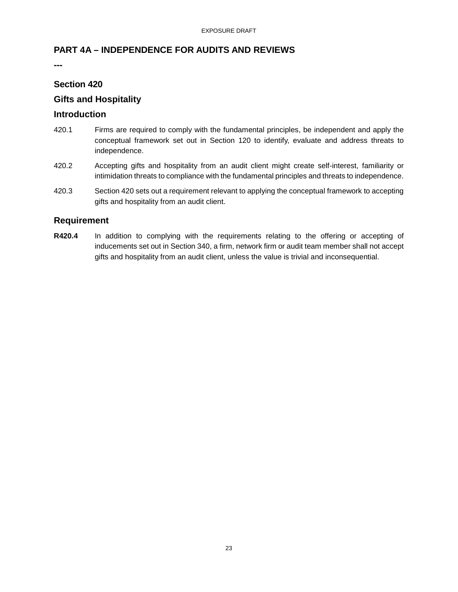# <span id="page-22-0"></span>**PART 4A – INDEPENDENCE FOR AUDITS AND REVIEWS**

**---**

# **Section 420**

# **Gifts and Hospitality**

### **Introduction**

- 420.1 Firms are required to comply with the fundamental principles, be independent and apply the conceptual framework set out in Section 120 to identify, evaluate and address threats to independence.
- 420.2 Accepting gifts and hospitality from an audit client might create self-interest, familiarity or intimidation threats to compliance with the fundamental principles and threats to independence.
- 420.3 Section 420 sets out a requirement relevant to applying the conceptual framework to accepting gifts and hospitality from an audit client.

# **Requirement**

**R420.4** In addition to complying with the requirements relating to the offering or accepting of inducements set out in Section 340, a firm, network firm or audit team member shall not accept gifts and hospitality from an audit client, unless the value is trivial and inconsequential.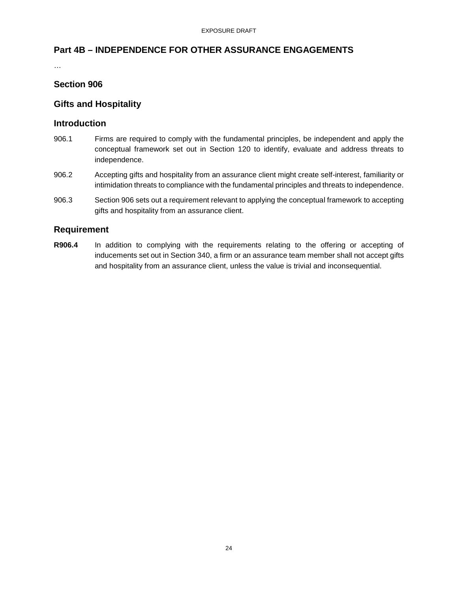# <span id="page-23-0"></span>**Part 4B – INDEPENDENCE FOR OTHER ASSURANCE ENGAGEMENTS**

…

# **Section 906**

# **Gifts and Hospitality**

# **Introduction**

- 906.1 Firms are required to comply with the fundamental principles, be independent and apply the conceptual framework set out in Section 120 to identify, evaluate and address threats to independence.
- 906.2 Accepting gifts and hospitality from an assurance client might create self-interest, familiarity or intimidation threats to compliance with the fundamental principles and threats to independence.
- 906.3 Section 906 sets out a requirement relevant to applying the conceptual framework to accepting gifts and hospitality from an assurance client.

# **Requirement**

**R906.4** In addition to complying with the requirements relating to the offering or accepting of inducements set out in Section 340, a firm or an assurance team member shall not accept gifts and hospitality from an assurance client, unless the value is trivial and inconsequential.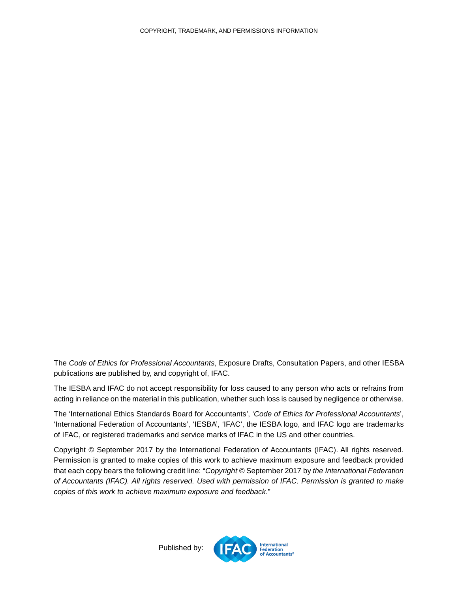The *Code of Ethics for Professional Accountants*, Exposure Drafts, Consultation Papers, and other IESBA publications are published by, and copyright of, IFAC.

The IESBA and IFAC do not accept responsibility for loss caused to any person who acts or refrains from acting in reliance on the material in this publication, whether such loss is caused by negligence or otherwise.

The 'International Ethics Standards Board for Accountants', '*Code of Ethics for Professional Accountants*', 'International Federation of Accountants', 'IESBA', 'IFAC', the IESBA logo, and IFAC logo are trademarks of IFAC, or registered trademarks and service marks of IFAC in the US and other countries.

<span id="page-24-0"></span>Copyright © September 2017 by the International Federation of Accountants (IFAC). All rights reserved. Permission is granted to make copies of this work to achieve maximum exposure and feedback provided that each copy bears the following credit line: "*Copyright ©* September 2017 by *the International Federation of Accountants (IFAC). All rights reserved. Used with permission of IFAC. Permission is granted to make copies of this work to achieve maximum exposure and feedback*."